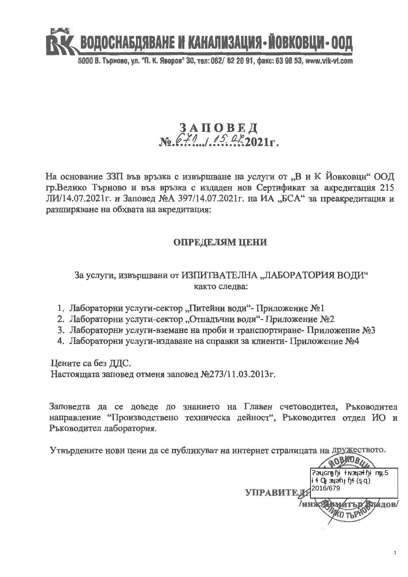

5000 В. Търново, ул. "П. К. Яворов" 30, тел: 062/ 62 20 91, факс: 63 98 53, www.vik-vt.com

# $3 A \Pi O B E \Pi$ <br>No  $67$ // $102$   $45$   $42$   $2021$ r.

На основание ЗЗП във връзка с извършване на услуги от "В и К Йовковци" ООД гр. Велико Търново и във връзка с издаден нов Сертификат за акредитация 215 ЛИ/14.07.2021г. и Заповед №А 397/14.07.2021г. на ИА "БСА" за преакредитация и разширяване на обхвата на акредитация:

## ОПРЕДЕЛЯМ ЦЕНИ

### За услуги, извършвани от ИЗПИТВАТЕЛНА "ЛАБОРАТОРИЯ ВОДИ" както следва:

- 1. Лабораторни услуги-сектор "Питейни води"- Приложение №1
- 2. Лабораторни услуги-сектор "Отпадъчни води"- Приложение №2
- 3. Лабораторни услуги-вземане на проби и транспортиране- Приложение №3
- 4. Лабораторни услуги-издаване на справки за клиенти- Приложение №4

Цените са без ДДС.

Настоящата заповед отменя заповед №273/11.03.2013г.

Заповедта да се доведе до знанието на Главен счетоводител, Ръководител направление "Производствено техническа дейност", Ръководител отдел ИО и Ръководител лаборатория.

Утвърдените нови цени да се публикуват на интернет страницата на дружеството.

 $.5\,$ 2016/679 **УПРАВИТЕЛ** палов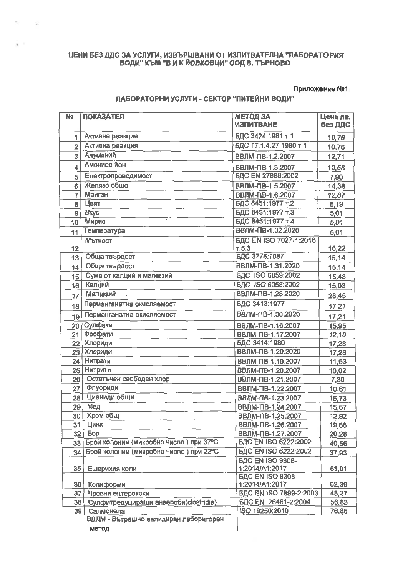# ЦЕНИ БЕЗ ДДС ЗА УСЛУГИ, ИЗВЪРШВАНИ ОТ ИЗПИТВАТЕЛНА "ЛАБОРАТОРИЯ<br>ВОДИ" КЪМ "В И К ЙОВКОВЦИ" ООД В. ТЪРНОВО

#### Приложение №1

#### ЛАБОРАТОРНИ УСЛУГИ - СЕКТОР "ПИТЕЙНИ ВОДИ"

| N <sub>2</sub>          | <b>ПОКАЗАТЕЛ</b>                                   | <b>МЕТОД ЗА</b><br><b>ИЗПИТВАНЕ</b>              | Цена лв.<br>без ДДС |
|-------------------------|----------------------------------------------------|--------------------------------------------------|---------------------|
| 1                       | Активна реакция                                    | БДС 3424:1981 т.1                                | 10,76               |
| $\overline{2}$          | Активна реакция                                    | БДС 17.1.4.27:1980 т.1                           | 10,76               |
| 3                       | Алуминий                                           | ВВЛМ-ПВ-1.2.2007                                 | 12,71               |
| $\overline{\mathbf{4}}$ | Амониев йон                                        | ВВЛМ-ПВ-1.3.2007                                 | 10,58               |
| 5                       | Електропроводимост                                 | <b>БДС EN 27888:2002</b>                         | 7,90                |
| 6                       | Желязо общо                                        | ВВЛМ-ПВ-1.5.2007                                 | 14,38               |
| $\overline{7}$          | <b>Манган</b>                                      | ВВЛМ-ПВ-1.6.2007                                 | 12,87               |
| 8                       | Цвят                                               | БДС 8451:1977 т.2                                | 6,19                |
| 9                       | <b>B</b> <sub>Ky</sub> c                           | БДС 8451:1977 т.3                                | 5,01                |
| 10                      | Мирис                                              | БДС 8451:1977 т.4                                | 5,01                |
| 11                      | Температура                                        | ВВЛМ-ПВ-1.32.2020                                | 5,01                |
| 12                      | Мътност                                            | БДС EN ISO 7027-1:2016<br>T.5.3                  | 16,22               |
| 13                      | Обща твърдост                                      | БДС 3775:1987                                    | 15,14               |
| 14                      | Обща твърдост                                      | ВВЛМ-ПВ-1.31.2020                                | 15,14               |
| 15                      | Сума от калций и магнезий                          | <b>БДС ISO 6059:2002</b>                         | 15,48               |
| 16                      | Калций                                             | <b>БДС ISO 6058:2002</b>                         | 15,03               |
| 17                      | <b>Магнезий</b>                                    | ВВЛМ-ПВ-1.28.2020                                | 28,45               |
| 18                      | Перманганатна окисляемост                          | БДС 3413:1977                                    | 17,21               |
| 19                      | Перманганатна окисляемост                          | ВВЛМ-ПВ-1.30.2020                                | 17,21               |
| 20                      | Сулфати                                            | ВВЛМ-ПВ-1.16.2007                                | 15,95               |
| 21                      | Фосфати                                            | ВВЛМ-ПВ-1.17.2007                                | 12,10               |
| 22                      | <b>Хлориди</b>                                     | БДС 3414:1980                                    | 17,28               |
| 23                      | <b>Хлориди</b>                                     | ВВЛМ-ПВ-1.29.2020                                | 17,28               |
| 24                      | Нитрати                                            | ВВЛМ-ПВ-1.19.2007                                | 11,63               |
| 25                      | <b>Нитрити</b>                                     | ВВЛМ-ПВ-1.20.2007                                | 10,02               |
| 26                      | Остатъчен свободен хлор                            | ВВЛМ-ПВ-1.21.2007                                | 7,39                |
| 27                      | Флуориди                                           | ВВЛМ-ПВ-1.22.2007                                | 10,61               |
| 28                      | Цианиди общи                                       | ВВЛМ-ПВ-1.23.2007                                | 15,73               |
| 29                      | Мед                                                | ВВЛМ-ПВ-1.24.2007                                | 15,57               |
| 30                      | Хром общ                                           | ВВЛМ-ПВ-1.25.2007                                | 12,92               |
| 31                      | Цинк                                               | ВВЛМ-ПВ-1.26.2007                                | 19,88               |
| 32                      | <b>Eop</b>                                         | ВВЛМ-ПВ-1.27.2007                                | 20,28               |
| 33                      | Брой колонии (микробно число) при 37°С             | <b>БДС EN ISO 6222:2002</b>                      | 40,56               |
| 34                      | Брой колонии (микробно число) при 22°С             | <b>БДС EN ISO 6222:2002</b>                      | 37,93               |
| 35                      | Ешерихия коли                                      | <b><i>BAC EN ISO 9308-</i></b><br>1:2014/A1:2017 | 51,01               |
|                         |                                                    | <b>БДС EN ISO 9308-</b>                          |                     |
| 36                      | Колиформи                                          | 1:2014/A1:2017                                   | 62,39               |
| 37                      | Чревни ентерококи                                  | БДС EN ISO 7899-2:2003                           | 48,27               |
| 38                      | Сулфитредуциращи анаероби(clostridia)              | БДС EN 26461-2:2004                              | 56,83               |
| 39                      | Салмонела<br>ВВЛМ - Вътрешно валидиран лабораторен | ISO 19250:2010                                   | 76,85               |

метод

- 2